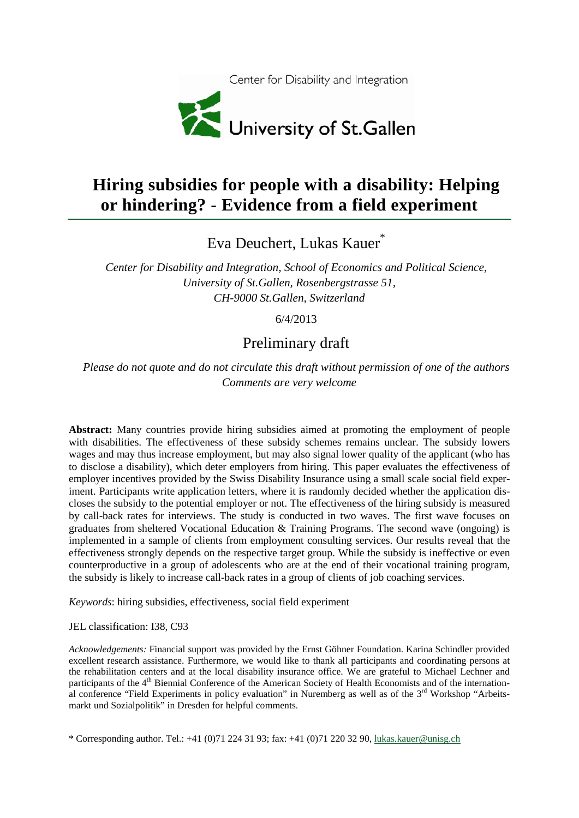

# **Hiring subsidies for people with a disability: Helping or hindering? - Evidence from a field experiment**

Eva Deuchert, Lukas Kauer<sup>\*</sup>

*Center for Disability and Integration, School of Economics and Political Science, University of St.Gallen, Rosenbergstrasse 51, CH-9000 St.Gallen, Switzerland*

6/4/2013

## Preliminary draft

*Please do not quote and do not circulate this draft without permission of one of the authors Comments are very welcome*

**Abstract:** Many countries provide hiring subsidies aimed at promoting the employment of people with disabilities. The effectiveness of these subsidy schemes remains unclear. The subsidy lowers wages and may thus increase employment, but may also signal lower quality of the applicant (who has to disclose a disability), which deter employers from hiring. This paper evaluates the effectiveness of employer incentives provided by the Swiss Disability Insurance using a small scale social field experiment. Participants write application letters, where it is randomly decided whether the application discloses the subsidy to the potential employer or not. The effectiveness of the hiring subsidy is measured by call-back rates for interviews. The study is conducted in two waves. The first wave focuses on graduates from sheltered Vocational Education & Training Programs. The second wave (ongoing) is implemented in a sample of clients from employment consulting services. Our results reveal that the effectiveness strongly depends on the respective target group. While the subsidy is ineffective or even counterproductive in a group of adolescents who are at the end of their vocational training program, the subsidy is likely to increase call-back rates in a group of clients of job coaching services.

*Keywords*: hiring subsidies, effectiveness, social field experiment

JEL classification: I38, C93

*Acknowledgements:* Financial support was provided by the Ernst Göhner Foundation. Karina Schindler provided excellent research assistance. Furthermore, we would like to thank all participants and coordinating persons at the rehabilitation centers and at the local disability insurance office. We are grateful to Michael Lechner and participants of the 4<sup>th</sup> Biennial Conference of the American Society of Health Economists and of the international conference "Field Experiments in policy evaluation" in Nuremberg as well as of the 3<sup>rd</sup> Workshop "Arbeitsmarkt und Sozialpolitik" in Dresden for helpful comments.

\* Corresponding author. Tel.: +41 (0)71 224 31 93; fax: +41 (0)71 220 32 90, [lukas.kauer@unisg.ch](mailto:lukas.kauer@unisg.ch)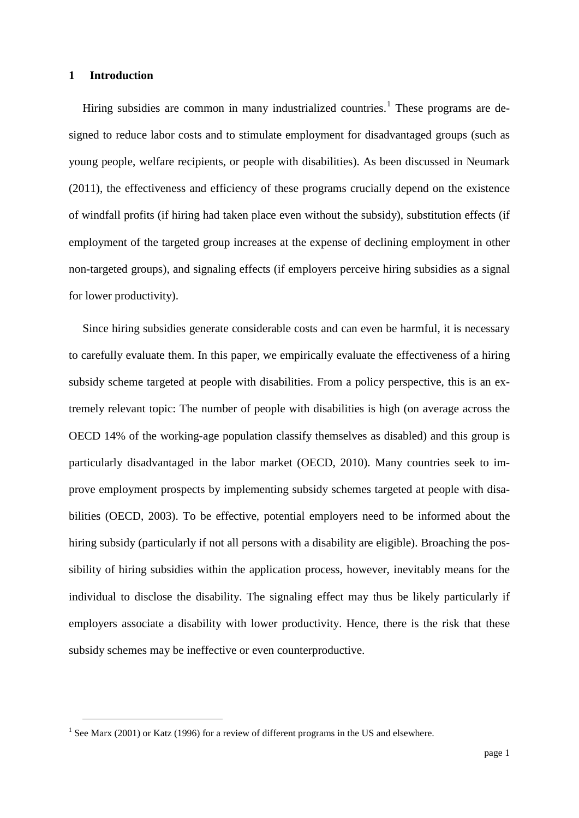#### **1 Introduction**

Hiring subsidies are common in many industrialized countries.<sup>[1](#page-1-0)</sup> These programs are designed to reduce labor costs and to stimulate employment for disadvantaged groups (such as young people, welfare recipients, or people with disabilities). As been discussed in Neumark [\(2011\)](#page-21-0), the effectiveness and efficiency of these programs crucially depend on the existence of windfall profits (if hiring had taken place even without the subsidy), substitution effects (if employment of the targeted group increases at the expense of declining employment in other non-targeted groups), and signaling effects (if employers perceive hiring subsidies as a signal for lower productivity).

Since hiring subsidies generate considerable costs and can even be harmful, it is necessary to carefully evaluate them. In this paper, we empirically evaluate the effectiveness of a hiring subsidy scheme targeted at people with disabilities. From a policy perspective, this is an extremely relevant topic: The number of people with disabilities is high (on average across the OECD 14% of the working-age population classify themselves as disabled) and this group is particularly disadvantaged in the labor market [\(OECD, 2010\)](#page-21-1). Many countries seek to improve employment prospects by implementing subsidy schemes targeted at people with disabilities [\(OECD, 2003\)](#page-21-2). To be effective, potential employers need to be informed about the hiring subsidy (particularly if not all persons with a disability are eligible). Broaching the possibility of hiring subsidies within the application process, however, inevitably means for the individual to disclose the disability. The signaling effect may thus be likely particularly if employers associate a disability with lower productivity. Hence, there is the risk that these subsidy schemes may be ineffective or even counterproductive.

<span id="page-1-1"></span><span id="page-1-0"></span><sup>&</sup>lt;sup>1</sup> See Marx [\(2001\)](#page-21-3) or Katz [\(1996\)](#page-21-4) for a review of different programs in the US and elsewhere.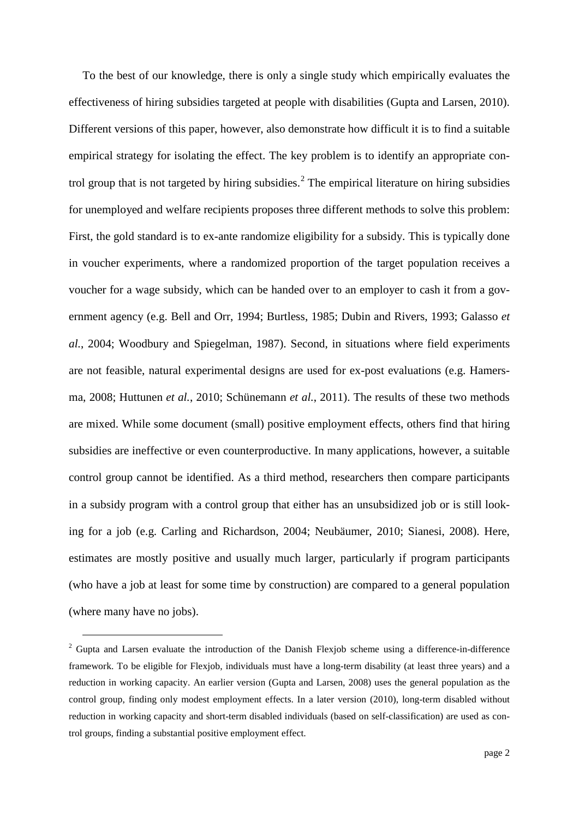To the best of our knowledge, there is only a single study which empirically evaluates the effectiveness of hiring subsidies targeted at people with disabilities [\(Gupta and Larsen, 2010\)](#page-20-0). Different versions of this paper, however, also demonstrate how difficult it is to find a suitable empirical strategy for isolating the effect. The key problem is to identify an appropriate con-trol group that is not targeted by hiring subsidies.<sup>[2](#page-1-1)</sup> The empirical literature on hiring subsidies for unemployed and welfare recipients proposes three different methods to solve this problem: First, the gold standard is to ex-ante randomize eligibility for a subsidy. This is typically done in voucher experiments, where a randomized proportion of the target population receives a voucher for a wage subsidy, which can be handed over to an employer to cash it from a government agency (e.g. [Bell and Orr, 1994;](#page-20-1) [Burtless, 1985;](#page-20-2) [Dubin and Rivers, 1993;](#page-20-3) [Galasso](#page-20-4) *et al.*[, 2004;](#page-20-4) [Woodbury and Spiegelman, 1987\)](#page-21-5). Second, in situations where field experiments are not feasible, natural experimental designs are used for ex-post evaluations (e.g. [Hamers](#page-20-5)[ma, 2008;](#page-20-5) [Huttunen](#page-20-6) *et al.*, 2010; [Schünemann](#page-21-6) *et al.*, 2011). The results of these two methods are mixed. While some document (small) positive employment effects, others find that hiring subsidies are ineffective or even counterproductive. In many applications, however, a suitable control group cannot be identified. As a third method, researchers then compare participants in a subsidy program with a control group that either has an unsubsidized job or is still looking for a job (e.g. [Carling and Richardson, 2004;](#page-20-7) [Neubäumer, 2010;](#page-21-7) [Sianesi, 2008\)](#page-21-8). Here, estimates are mostly positive and usually much larger, particularly if program participants (who have a job at least for some time by construction) are compared to a general population (where many have no jobs).

<span id="page-2-0"></span><sup>&</sup>lt;sup>2</sup> Gupta and Larsen evaluate the introduction of the Danish Flexjob scheme using a difference-in-difference framework. To be eligible for Flexjob, individuals must have a long-term disability (at least three years) and a reduction in working capacity. An earlier version [\(Gupta and Larsen, 2008\)](#page-20-8) uses the general population as the control group, finding only modest employment effects. In a later version (2010), long-term disabled without reduction in working capacity and short-term disabled individuals (based on self-classification) are used as control groups, finding a substantial positive employment effect.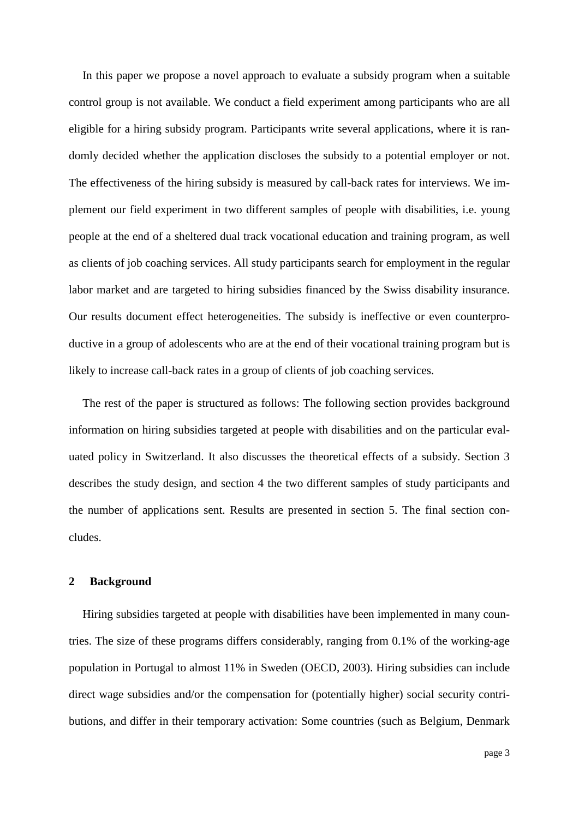In this paper we propose a novel approach to evaluate a subsidy program when a suitable control group is not available. We conduct a field experiment among participants who are all eligible for a hiring subsidy program. Participants write several applications, where it is randomly decided whether the application discloses the subsidy to a potential employer or not. The effectiveness of the hiring subsidy is measured by call-back rates for interviews. We implement our field experiment in two different samples of people with disabilities, i.e. young people at the end of a sheltered dual track vocational education and training program, as well as clients of job coaching services. All study participants search for employment in the regular labor market and are targeted to hiring subsidies financed by the Swiss disability insurance. Our results document effect heterogeneities. The subsidy is ineffective or even counterproductive in a group of adolescents who are at the end of their vocational training program but is likely to increase call-back rates in a group of clients of job coaching services.

The rest of the paper is structured as follows: The following section provides background information on hiring subsidies targeted at people with disabilities and on the particular evaluated policy in Switzerland. It also discusses the theoretical effects of a subsidy. Section 3 describes the study design, and section 4 the two different samples of study participants and the number of applications sent. Results are presented in section 5. The final section concludes.

#### **2 Background**

Hiring subsidies targeted at people with disabilities have been implemented in many countries. The size of these programs differs considerably, ranging from 0.1% of the working-age population in Portugal to almost 11% in Sweden [\(OECD, 2003\)](#page-21-2). Hiring subsidies can include direct wage subsidies and/or the compensation for (potentially higher) social security contributions, and differ in their temporary activation: Some countries (such as Belgium, Denmark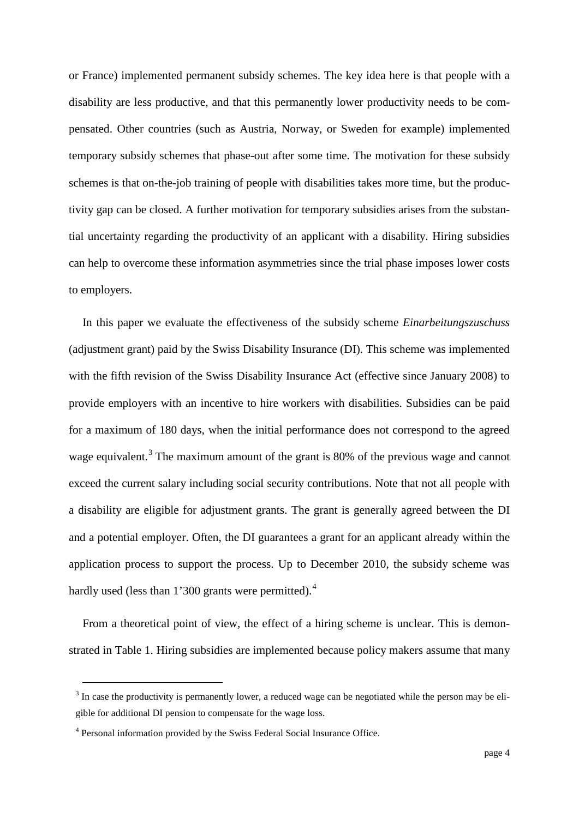or France) implemented permanent subsidy schemes. The key idea here is that people with a disability are less productive, and that this permanently lower productivity needs to be compensated. Other countries (such as Austria, Norway, or Sweden for example) implemented temporary subsidy schemes that phase-out after some time. The motivation for these subsidy schemes is that on-the-job training of people with disabilities takes more time, but the productivity gap can be closed. A further motivation for temporary subsidies arises from the substantial uncertainty regarding the productivity of an applicant with a disability. Hiring subsidies can help to overcome these information asymmetries since the trial phase imposes lower costs to employers.

In this paper we evaluate the effectiveness of the subsidy scheme *Einarbeitungszuschuss* (adjustment grant) paid by the Swiss Disability Insurance (DI). This scheme was implemented with the fifth revision of the Swiss Disability Insurance Act (effective since January 2008) to provide employers with an incentive to hire workers with disabilities. Subsidies can be paid for a maximum of 180 days, when the initial performance does not correspond to the agreed wage equivalent.<sup>[3](#page-2-0)</sup> The maximum amount of the grant is 80% of the previous wage and cannot exceed the current salary including social security contributions. Note that not all people with a disability are eligible for adjustment grants. The grant is generally agreed between the DI and a potential employer. Often, the DI guarantees a grant for an applicant already within the application process to support the process. Up to December 2010, the subsidy scheme was hardly used (less than 1'300 grants were permitted).<sup>[4](#page-4-0)</sup>

From a theoretical point of view, the effect of a hiring scheme is unclear. This is demonstrated in Table 1. Hiring subsidies are implemented because policy makers assume that many

 $3$  In case the productivity is permanently lower, a reduced wage can be negotiated while the person may be eligible for additional DI pension to compensate for the wage loss.

<span id="page-4-1"></span><span id="page-4-0"></span><sup>4</sup> Personal information provided by the Swiss Federal Social Insurance Office.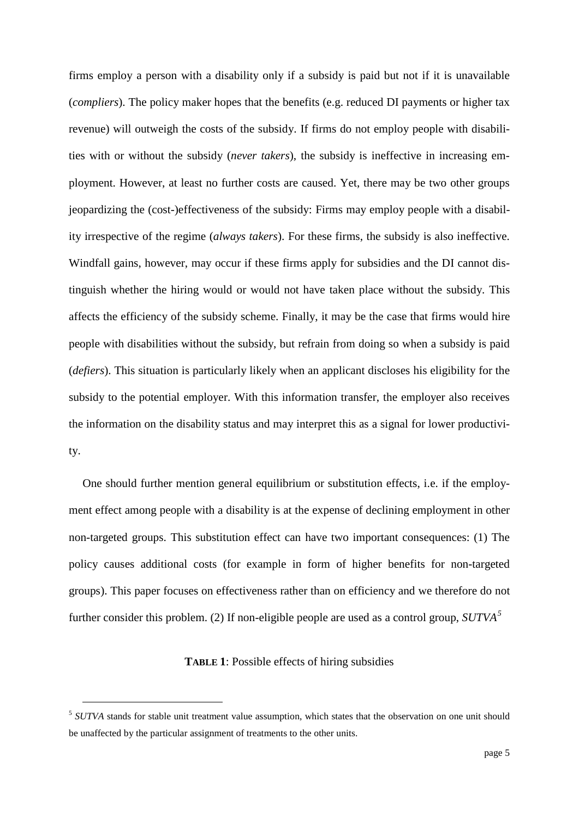firms employ a person with a disability only if a subsidy is paid but not if it is unavailable (*compliers*). The policy maker hopes that the benefits (e.g. reduced DI payments or higher tax revenue) will outweigh the costs of the subsidy. If firms do not employ people with disabilities with or without the subsidy (*never takers*), the subsidy is ineffective in increasing employment. However, at least no further costs are caused. Yet, there may be two other groups jeopardizing the (cost-)effectiveness of the subsidy: Firms may employ people with a disability irrespective of the regime (*always takers*). For these firms, the subsidy is also ineffective. Windfall gains, however, may occur if these firms apply for subsidies and the DI cannot distinguish whether the hiring would or would not have taken place without the subsidy. This affects the efficiency of the subsidy scheme. Finally, it may be the case that firms would hire people with disabilities without the subsidy, but refrain from doing so when a subsidy is paid (*defiers*). This situation is particularly likely when an applicant discloses his eligibility for the subsidy to the potential employer. With this information transfer, the employer also receives the information on the disability status and may interpret this as a signal for lower productivity.

One should further mention general equilibrium or substitution effects, i.e. if the employment effect among people with a disability is at the expense of declining employment in other non-targeted groups. This substitution effect can have two important consequences: (1) The policy causes additional costs (for example in form of higher benefits for non-targeted groups). This paper focuses on effectiveness rather than on efficiency and we therefore do not further consider this problem. (2) If non-eligible people are used as a control group, *SUTVA[5](#page-4-1)*

#### **TABLE 1**: Possible effects of hiring subsidies

<span id="page-5-0"></span> <sup>5</sup> *SUTVA* stands for stable unit treatment value assumption, which states that the observation on one unit should be unaffected by the particular assignment of treatments to the other units.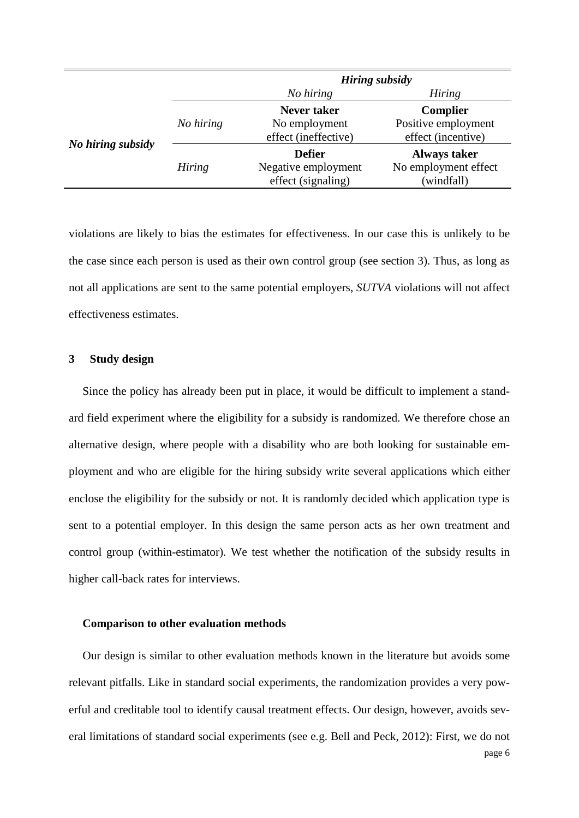|                   |               | <b>Hiring subsidy</b> |                      |  |  |
|-------------------|---------------|-----------------------|----------------------|--|--|
|                   |               | No hiring             | <b>Hiring</b>        |  |  |
|                   |               | <b>Never taker</b>    | <b>Complier</b>      |  |  |
|                   | No hiring     | No employment         | Positive employment  |  |  |
| No hiring subsidy |               | effect (ineffective)  | effect (incentive)   |  |  |
|                   |               | <b>Defier</b>         | <b>Always taker</b>  |  |  |
|                   | <b>Hiring</b> | Negative employment   | No employment effect |  |  |
|                   |               | effect (signaling)    | (windfall)           |  |  |

violations are likely to bias the estimates for effectiveness. In our case this is unlikely to be the case since each person is used as their own control group (see section 3). Thus, as long as not all applications are sent to the same potential employers, *SUTVA* violations will not affect effectiveness estimates.

#### **3 Study design**

Since the policy has already been put in place, it would be difficult to implement a standard field experiment where the eligibility for a subsidy is randomized. We therefore chose an alternative design, where people with a disability who are both looking for sustainable employment and who are eligible for the hiring subsidy write several applications which either enclose the eligibility for the subsidy or not. It is randomly decided which application type is sent to a potential employer. In this design the same person acts as her own treatment and control group (within-estimator). We test whether the notification of the subsidy results in higher call-back rates for interviews.

#### **Comparison to other evaluation methods**

Our design is similar to other evaluation methods known in the literature but avoids some relevant pitfalls. Like in standard social experiments, the randomization provides a very powerful and creditable tool to identify causal treatment effects. Our design, however, avoids several limitations of standard social experiments [\(see e.g. Bell and Peck, 2012\)](#page-20-9): First, we do not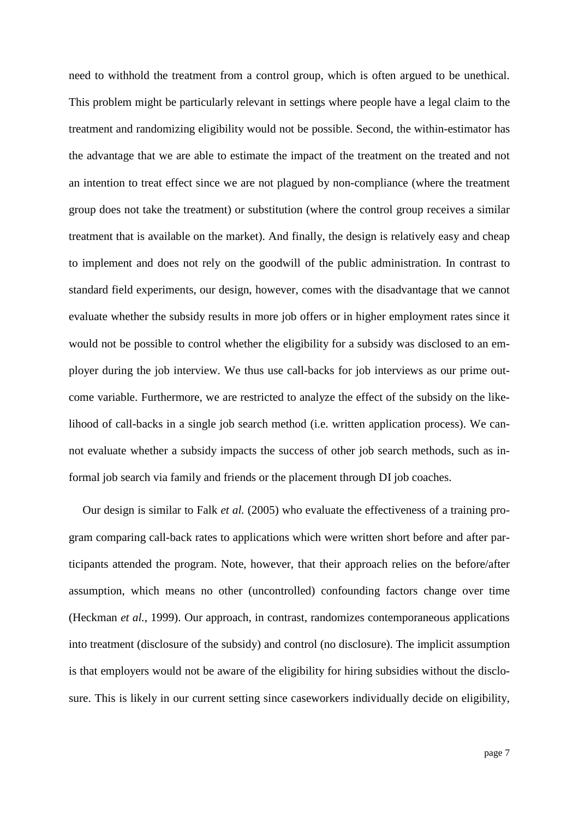need to withhold the treatment from a control group, which is often argued to be unethical. This problem might be particularly relevant in settings where people have a legal claim to the treatment and randomizing eligibility would not be possible. Second, the within-estimator has the advantage that we are able to estimate the impact of the treatment on the treated and not an intention to treat effect since we are not plagued by non-compliance (where the treatment group does not take the treatment) or substitution (where the control group receives a similar treatment that is available on the market). And finally, the design is relatively easy and cheap to implement and does not rely on the goodwill of the public administration. In contrast to standard field experiments, our design, however, comes with the disadvantage that we cannot evaluate whether the subsidy results in more job offers or in higher employment rates since it would not be possible to control whether the eligibility for a subsidy was disclosed to an employer during the job interview. We thus use call-backs for job interviews as our prime outcome variable. Furthermore, we are restricted to analyze the effect of the subsidy on the likelihood of call-backs in a single job search method (i.e. written application process). We cannot evaluate whether a subsidy impacts the success of other job search methods, such as informal job search via family and friends or the placement through DI job coaches.

Our design is similar to Falk *et al.* [\(2005\)](#page-20-10) who evaluate the effectiveness of a training program comparing call-back rates to applications which were written short before and after participants attended the program. Note, however, that their approach relies on the before/after assumption, which means no other (uncontrolled) confounding factors change over time [\(Heckman](#page-20-11) *et al.*, 1999). Our approach, in contrast, randomizes contemporaneous applications into treatment (disclosure of the subsidy) and control (no disclosure). The implicit assumption is that employers would not be aware of the eligibility for hiring subsidies without the disclosure. This is likely in our current setting since caseworkers individually decide on eligibility,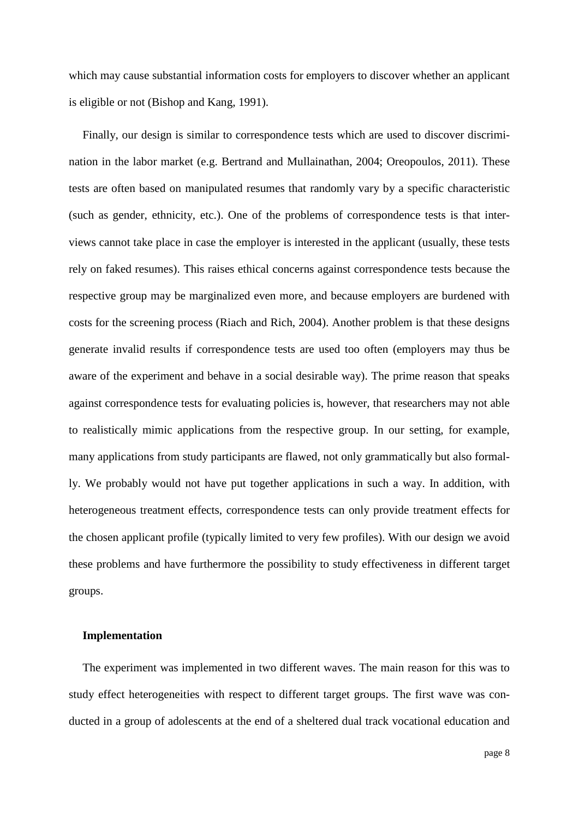which may cause substantial information costs for employers to discover whether an applicant is eligible or not [\(Bishop and Kang, 1991\)](#page-20-12).

Finally, our design is similar to correspondence tests which are used to discover discrimination in the labor market (e.g. [Bertrand and Mullainathan, 2004;](#page-20-13) [Oreopoulos, 2011\)](#page-21-9). These tests are often based on manipulated resumes that randomly vary by a specific characteristic (such as gender, ethnicity, etc.). One of the problems of correspondence tests is that interviews cannot take place in case the employer is interested in the applicant (usually, these tests rely on faked resumes). This raises ethical concerns against correspondence tests because the respective group may be marginalized even more, and because employers are burdened with costs for the screening process [\(Riach and Rich, 2004\)](#page-21-10). Another problem is that these designs generate invalid results if correspondence tests are used too often (employers may thus be aware of the experiment and behave in a social desirable way). The prime reason that speaks against correspondence tests for evaluating policies is, however, that researchers may not able to realistically mimic applications from the respective group. In our setting, for example, many applications from study participants are flawed, not only grammatically but also formally. We probably would not have put together applications in such a way. In addition, with heterogeneous treatment effects, correspondence tests can only provide treatment effects for the chosen applicant profile (typically limited to very few profiles). With our design we avoid these problems and have furthermore the possibility to study effectiveness in different target groups.

#### **Implementation**

The experiment was implemented in two different waves. The main reason for this was to study effect heterogeneities with respect to different target groups. The first wave was conducted in a group of adolescents at the end of a sheltered dual track vocational education and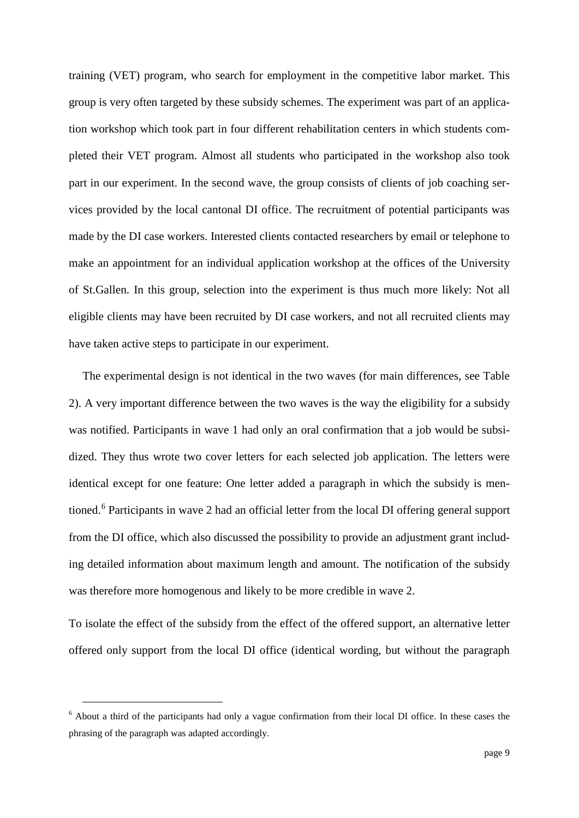training (VET) program, who search for employment in the competitive labor market. This group is very often targeted by these subsidy schemes. The experiment was part of an application workshop which took part in four different rehabilitation centers in which students completed their VET program. Almost all students who participated in the workshop also took part in our experiment. In the second wave, the group consists of clients of job coaching services provided by the local cantonal DI office. The recruitment of potential participants was made by the DI case workers. Interested clients contacted researchers by email or telephone to make an appointment for an individual application workshop at the offices of the University of St.Gallen. In this group, selection into the experiment is thus much more likely: Not all eligible clients may have been recruited by DI case workers, and not all recruited clients may have taken active steps to participate in our experiment.

The experimental design is not identical in the two waves (for main differences, see Table 2). A very important difference between the two waves is the way the eligibility for a subsidy was notified. Participants in wave 1 had only an oral confirmation that a job would be subsidized. They thus wrote two cover letters for each selected job application. The letters were identical except for one feature: One letter added a paragraph in which the subsidy is mentioned.[6](#page-5-0) Participants in wave 2 had an official letter from the local DI offering general support from the DI office, which also discussed the possibility to provide an adjustment grant including detailed information about maximum length and amount. The notification of the subsidy was therefore more homogenous and likely to be more credible in wave 2.

<span id="page-9-0"></span>To isolate the effect of the subsidy from the effect of the offered support, an alternative letter offered only support from the local DI office (identical wording, but without the paragraph

 <sup>6</sup> About a third of the participants had only a vague confirmation from their local DI office. In these cases the phrasing of the paragraph was adapted accordingly.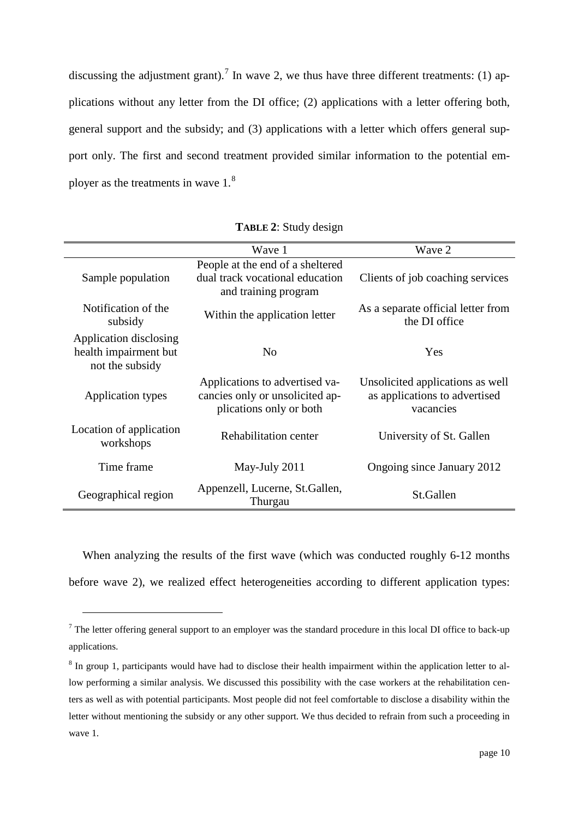discussing the adjustment grant).<sup>[7](#page-9-0)</sup> In wave 2, we thus have three different treatments: (1) applications without any letter from the DI office; (2) applications with a letter offering both, general support and the subsidy; and (3) applications with a letter which offers general support only. The first and second treatment provided similar information to the potential employer as the treatments in wave 1.[8](#page-10-0)

|                                                                    | Wave 1                                                                                       | Wave 2                                                                         |
|--------------------------------------------------------------------|----------------------------------------------------------------------------------------------|--------------------------------------------------------------------------------|
| Sample population                                                  | People at the end of a sheltered<br>dual track vocational education<br>and training program  | Clients of job coaching services                                               |
| Notification of the<br>subsidy                                     | Within the application letter                                                                | As a separate official letter from<br>the DI office                            |
| Application disclosing<br>health impairment but<br>not the subsidy | N <sub>0</sub>                                                                               | Yes                                                                            |
| <b>Application types</b>                                           | Applications to advertised va-<br>cancies only or unsolicited ap-<br>plications only or both | Unsolicited applications as well<br>as applications to advertised<br>vacancies |
| Location of application<br>workshops                               | Rehabilitation center                                                                        | University of St. Gallen                                                       |
| Time frame                                                         | May-July 2011                                                                                | Ongoing since January 2012                                                     |
| Geographical region                                                | Appenzell, Lucerne, St.Gallen,<br>Thurgau                                                    | St.Gallen                                                                      |

**TABLE 2**: Study design

When analyzing the results of the first wave (which was conducted roughly 6-12 months before wave 2), we realized effect heterogeneities according to different application types:

 $\overline{a}$ 

 $7$  The letter offering general support to an employer was the standard procedure in this local DI office to back-up applications.

<span id="page-10-1"></span><span id="page-10-0"></span><sup>8</sup> In group 1, participants would have had to disclose their health impairment within the application letter to allow performing a similar analysis. We discussed this possibility with the case workers at the rehabilitation centers as well as with potential participants. Most people did not feel comfortable to disclose a disability within the letter without mentioning the subsidy or any other support. We thus decided to refrain from such a proceeding in wave 1.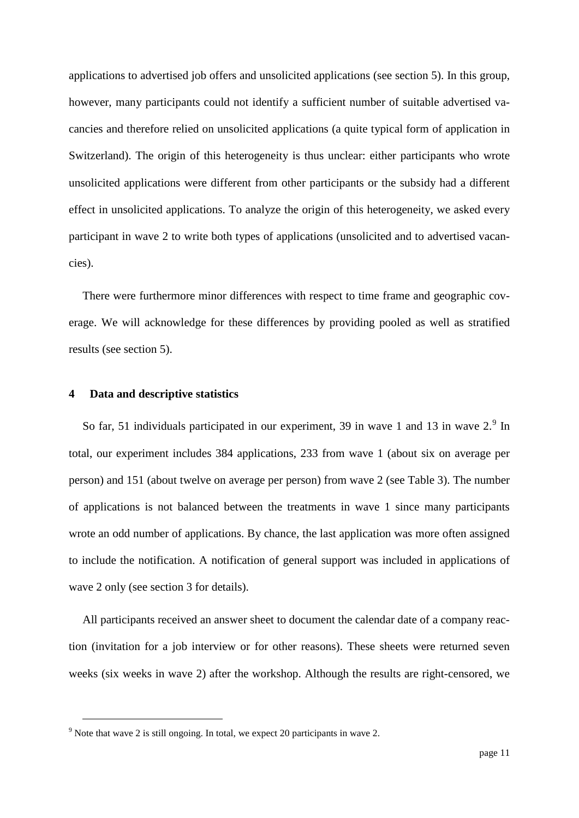applications to advertised job offers and unsolicited applications (see section 5). In this group, however, many participants could not identify a sufficient number of suitable advertised vacancies and therefore relied on unsolicited applications (a quite typical form of application in Switzerland). The origin of this heterogeneity is thus unclear: either participants who wrote unsolicited applications were different from other participants or the subsidy had a different effect in unsolicited applications. To analyze the origin of this heterogeneity, we asked every participant in wave 2 to write both types of applications (unsolicited and to advertised vacancies).

There were furthermore minor differences with respect to time frame and geographic coverage. We will acknowledge for these differences by providing pooled as well as stratified results (see section 5).

#### **4 Data and descriptive statistics**

So far, 51 individuals participated in our experiment, 3[9](#page-10-1) in wave 1 and 13 in wave  $2<sup>9</sup>$  In total, our experiment includes 384 applications, 233 from wave 1 (about six on average per person) and 151 (about twelve on average per person) from wave 2 (see Table 3). The number of applications is not balanced between the treatments in wave 1 since many participants wrote an odd number of applications. By chance, the last application was more often assigned to include the notification. A notification of general support was included in applications of wave 2 only (see section 3 for details).

All participants received an answer sheet to document the calendar date of a company reaction (invitation for a job interview or for other reasons). These sheets were returned seven weeks (six weeks in wave 2) after the workshop. Although the results are right-censored, we

<span id="page-11-0"></span> $9$  Note that wave 2 is still ongoing. In total, we expect 20 participants in wave 2.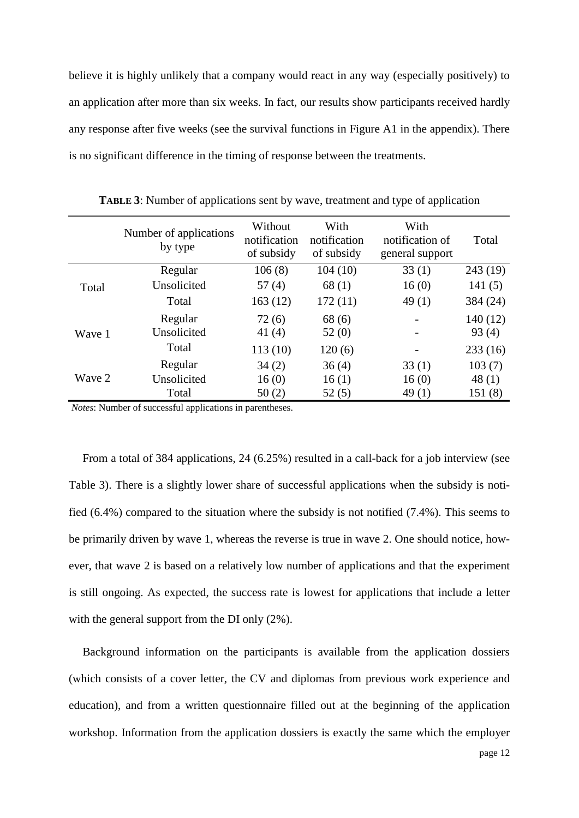believe it is highly unlikely that a company would react in any way (especially positively) to an application after more than six weeks. In fact, our results show participants received hardly any response after five weeks (see the survival functions in Figure A1 in the appendix). There is no significant difference in the timing of response between the treatments.

|        | Number of applications<br>by type | Without<br>notification<br>of subsidy | With<br>notification<br>of subsidy | With<br>notification of<br>general support | Total    |
|--------|-----------------------------------|---------------------------------------|------------------------------------|--------------------------------------------|----------|
|        | Regular                           | 106(8)                                | 104 (10)                           | 33(1)                                      | 243(19)  |
| Total  | Unsolicited                       | 57(4)                                 | 68(1)                              | 16(0)                                      | 141(5)   |
|        | Total                             | 163(12)                               | 172(11)                            | 49(1)                                      | 384 (24) |
|        | Regular                           | 72(6)                                 | 68 (6)                             |                                            | 140(12)  |
| Wave 1 | Unsolicited                       | 41 $(4)$                              | 52(0)                              |                                            | 93(4)    |
|        | Total                             | 113(10)                               | 120(6)                             |                                            | 233(16)  |
| Wave 2 | Regular                           | 34(2)                                 | 36(4)                              | 33(1)                                      | 103(7)   |
|        | Unsolicited                       | 16(0)                                 | 16(1)                              | 16(0)                                      | 48(1)    |
|        | Total                             | 50(2)                                 | 52(5)                              | 49(1)                                      | 151(8)   |

**TABLE 3**: Number of applications sent by wave, treatment and type of application

*Notes*: Number of successful applications in parentheses.

From a total of 384 applications, 24 (6.25%) resulted in a call-back for a job interview (see Table 3). There is a slightly lower share of successful applications when the subsidy is notified (6.4%) compared to the situation where the subsidy is not notified (7.4%). This seems to be primarily driven by wave 1, whereas the reverse is true in wave 2. One should notice, however, that wave 2 is based on a relatively low number of applications and that the experiment is still ongoing. As expected, the success rate is lowest for applications that include a letter with the general support from the DI only (2%).

Background information on the participants is available from the application dossiers (which consists of a cover letter, the CV and diplomas from previous work experience and education), and from a written questionnaire filled out at the beginning of the application workshop. Information from the application dossiers is exactly the same which the employer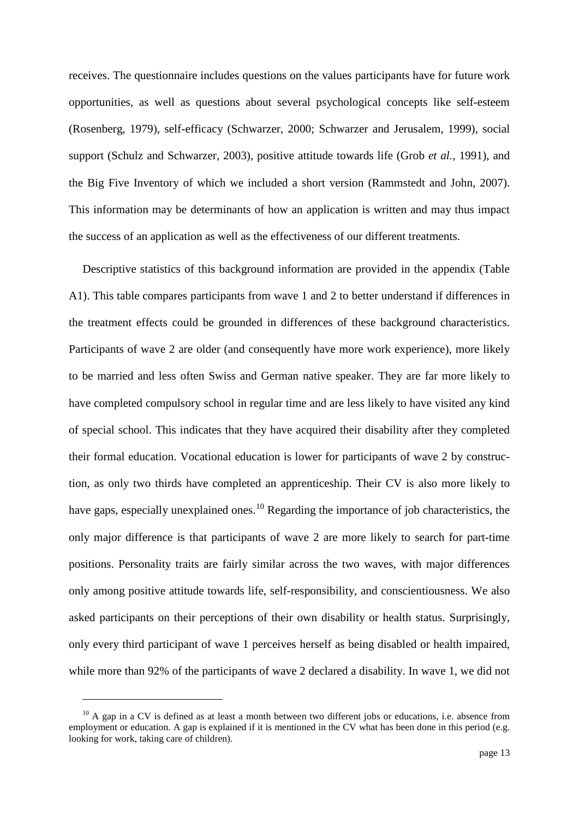receives. The questionnaire includes questions on the values participants have for future work opportunities, as well as questions about several psychological concepts like self-esteem [\(Rosenberg, 1979\)](#page-21-11), self-efficacy [\(Schwarzer, 2000;](#page-21-12) [Schwarzer and Jerusalem, 1999\)](#page-21-13), social support [\(Schulz and Schwarzer, 2003\)](#page-21-14), positive attitude towards life (Grob *et al.*[, 1991\)](#page-20-14), and the Big Five Inventory of which we included a short version [\(Rammstedt and John, 2007\)](#page-21-15). This information may be determinants of how an application is written and may thus impact the success of an application as well as the effectiveness of our different treatments.

Descriptive statistics of this background information are provided in the appendix (Table A1). This table compares participants from wave 1 and 2 to better understand if differences in the treatment effects could be grounded in differences of these background characteristics. Participants of wave 2 are older (and consequently have more work experience), more likely to be married and less often Swiss and German native speaker. They are far more likely to have completed compulsory school in regular time and are less likely to have visited any kind of special school. This indicates that they have acquired their disability after they completed their formal education. Vocational education is lower for participants of wave 2 by construction, as only two thirds have completed an apprenticeship. Their CV is also more likely to have gaps, especially unexplained ones.<sup>[10](#page-11-0)</sup> Regarding the importance of job characteristics, the only major difference is that participants of wave 2 are more likely to search for part-time positions. Personality traits are fairly similar across the two waves, with major differences only among positive attitude towards life, self-responsibility, and conscientiousness. We also asked participants on their perceptions of their own disability or health status. Surprisingly, only every third participant of wave 1 perceives herself as being disabled or health impaired, while more than 92% of the participants of wave 2 declared a disability. In wave 1, we did not

 $\overline{a}$ 

<span id="page-13-0"></span> $10$  A gap in a CV is defined as at least a month between two different jobs or educations, i.e. absence from employment or education. A gap is explained if it is mentioned in the CV what has been done in this period (e.g. looking for work, taking care of children).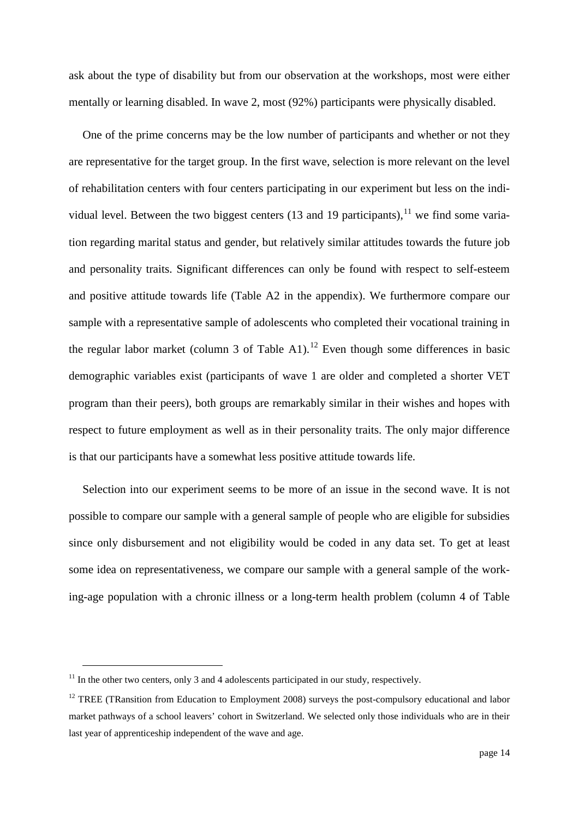ask about the type of disability but from our observation at the workshops, most were either mentally or learning disabled. In wave 2, most (92%) participants were physically disabled.

One of the prime concerns may be the low number of participants and whether or not they are representative for the target group. In the first wave, selection is more relevant on the level of rehabilitation centers with four centers participating in our experiment but less on the indi-vidual level. Between the two biggest centers (13 and 19 participants), <sup>[11](#page-13-0)</sup> we find some variation regarding marital status and gender, but relatively similar attitudes towards the future job and personality traits. Significant differences can only be found with respect to self-esteem and positive attitude towards life (Table A2 in the appendix). We furthermore compare our sample with a representative sample of adolescents who completed their vocational training in the regular labor market (column 3 of Table A1).<sup>[12](#page-14-0)</sup> Even though some differences in basic demographic variables exist (participants of wave 1 are older and completed a shorter VET program than their peers), both groups are remarkably similar in their wishes and hopes with respect to future employment as well as in their personality traits. The only major difference is that our participants have a somewhat less positive attitude towards life.

Selection into our experiment seems to be more of an issue in the second wave. It is not possible to compare our sample with a general sample of people who are eligible for subsidies since only disbursement and not eligibility would be coded in any data set. To get at least some idea on representativeness, we compare our sample with a general sample of the working-age population with a chronic illness or a long-term health problem (column 4 of Table

 $11$  In the other two centers, only 3 and 4 adolescents participated in our study, respectively.

<span id="page-14-0"></span> $12$  TREE (TRansition from Education to Employment 2008) surveys the post-compulsory educational and labor market pathways of a school leavers' cohort in Switzerland. We selected only those individuals who are in their last year of apprenticeship independent of the wave and age.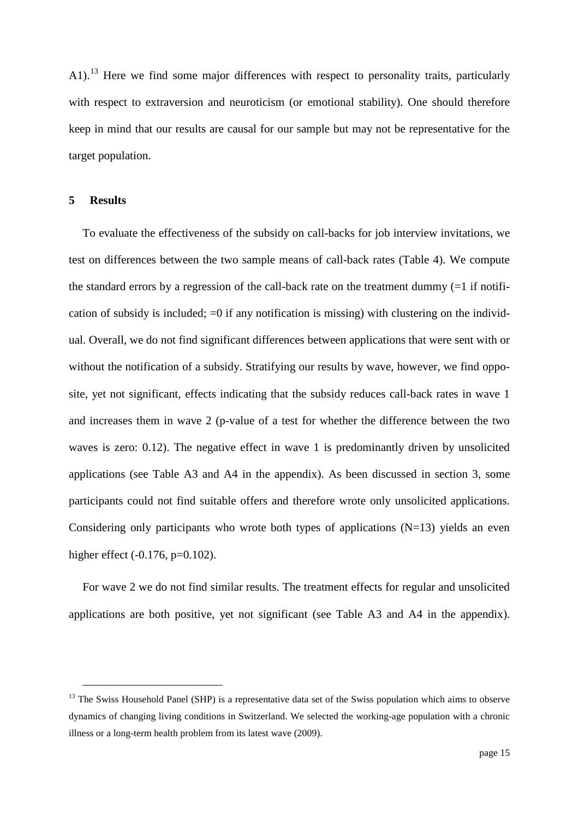A1).<sup>[13](#page-14-0)</sup> Here we find some major differences with respect to personality traits, particularly with respect to extraversion and neuroticism (or emotional stability). One should therefore keep in mind that our results are causal for our sample but may not be representative for the target population.

#### **5 Results**

To evaluate the effectiveness of the subsidy on call-backs for job interview invitations, we test on differences between the two sample means of call-back rates (Table 4). We compute the standard errors by a regression of the call-back rate on the treatment dummy  $(=1 \text{ if } \text{notif } \text{--} \text{ if } \text{notif } \text{--} \text{ if } \text{notif } \text{--} \text{ if } \text{notif } \text{--} \text{ if } \text{notif } \text{--} \text{notif } \text{notif } \text{--} \text{notif } \text{notif } \text{--} \text{notif } \text{notif } \text{--} \text{notif$ cation of subsidy is included;  $=0$  if any notification is missing) with clustering on the individual. Overall, we do not find significant differences between applications that were sent with or without the notification of a subsidy. Stratifying our results by wave, however, we find opposite, yet not significant, effects indicating that the subsidy reduces call-back rates in wave 1 and increases them in wave 2 (p-value of a test for whether the difference between the two waves is zero: 0.12). The negative effect in wave 1 is predominantly driven by unsolicited applications (see Table A3 and A4 in the appendix). As been discussed in section 3, some participants could not find suitable offers and therefore wrote only unsolicited applications. Considering only participants who wrote both types of applications  $(N=13)$  yields an even higher effect (-0.176, p=0.102).

For wave 2 we do not find similar results. The treatment effects for regular and unsolicited applications are both positive, yet not significant (see Table A3 and A4 in the appendix).

<span id="page-15-0"></span><sup>&</sup>lt;sup>13</sup> The Swiss Household Panel (SHP) is a representative data set of the Swiss population which aims to observe dynamics of changing living conditions in Switzerland. We selected the working-age population with a chronic illness or a long-term health problem from its latest wave (2009).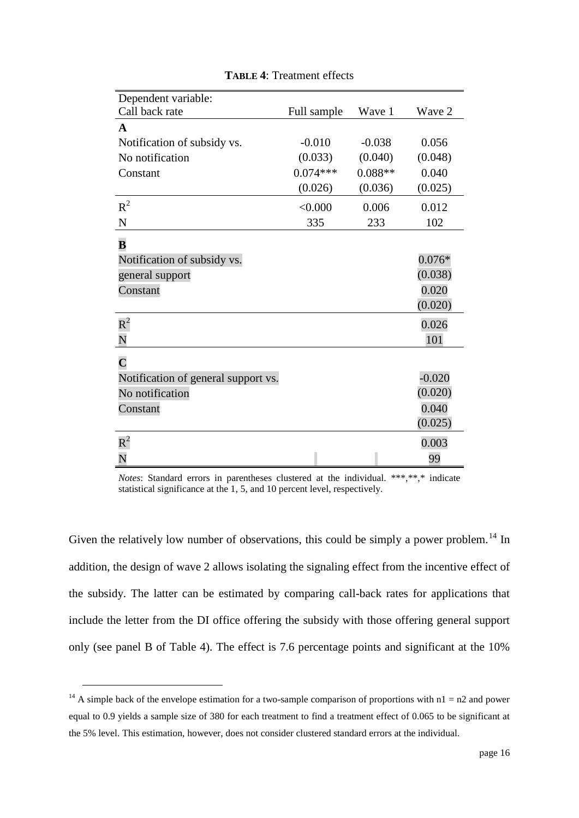| Dependent variable:                 |             |           |          |
|-------------------------------------|-------------|-----------|----------|
| Call back rate                      | Full sample | Wave 1    | Wave 2   |
| A                                   |             |           |          |
| Notification of subsidy vs.         | $-0.010$    | $-0.038$  | 0.056    |
| No notification                     | (0.033)     | (0.040)   | (0.048)  |
| Constant                            | $0.074***$  | $0.088**$ | 0.040    |
|                                     | (0.026)     | (0.036)   | (0.025)  |
| $R^2$                               | < 0.000     | 0.006     | 0.012    |
| N                                   | 335         | 233       | 102      |
| $\bf{B}$                            |             |           |          |
| Notification of subsidy vs.         |             |           | $0.076*$ |
| general support                     |             |           | (0.038)  |
| Constant                            |             |           | 0.020    |
|                                     |             |           | (0.020)  |
| $\boldsymbol{\mathrm{R}}^{2}$       |             |           | 0.026    |
| N                                   |             |           | 101      |
| $\overline{\mathbf{C}}$             |             |           |          |
| Notification of general support vs. |             |           | $-0.020$ |
| No notification                     |             |           | (0.020)  |
| Constant                            |             |           | 0.040    |
|                                     |             |           | (0.025)  |
| $\rm R^2$                           |             |           | 0.003    |
| N                                   |             |           | 99       |
|                                     |             |           |          |

**TABLE 4**: Treatment effects

*Notes*: Standard errors in parentheses clustered at the individual. \*\*\*,\*\*,\* indicate statistical significance at the 1, 5, and 10 percent level, respectively.

Given the relatively low number of observations, this could be simply a power problem.<sup>[14](#page-15-0)</sup> In addition, the design of wave 2 allows isolating the signaling effect from the incentive effect of the subsidy. The latter can be estimated by comparing call-back rates for applications that include the letter from the DI office offering the subsidy with those offering general support only (see panel B of Table 4). The effect is 7.6 percentage points and significant at the 10%

<sup>&</sup>lt;sup>14</sup> A simple back of the envelope estimation for a two-sample comparison of proportions with  $n1 = n2$  and power equal to 0.9 yields a sample size of 380 for each treatment to find a treatment effect of 0.065 to be significant at the 5% level. This estimation, however, does not consider clustered standard errors at the individual.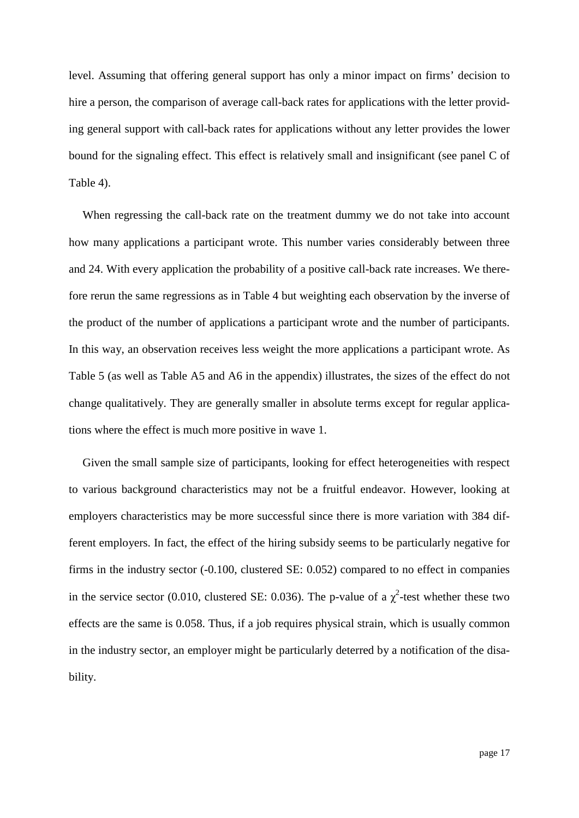level. Assuming that offering general support has only a minor impact on firms' decision to hire a person, the comparison of average call-back rates for applications with the letter providing general support with call-back rates for applications without any letter provides the lower bound for the signaling effect. This effect is relatively small and insignificant (see panel C of Table 4).

When regressing the call-back rate on the treatment dummy we do not take into account how many applications a participant wrote. This number varies considerably between three and 24. With every application the probability of a positive call-back rate increases. We therefore rerun the same regressions as in Table 4 but weighting each observation by the inverse of the product of the number of applications a participant wrote and the number of participants. In this way, an observation receives less weight the more applications a participant wrote. As Table 5 (as well as Table A5 and A6 in the appendix) illustrates, the sizes of the effect do not change qualitatively. They are generally smaller in absolute terms except for regular applications where the effect is much more positive in wave 1.

Given the small sample size of participants, looking for effect heterogeneities with respect to various background characteristics may not be a fruitful endeavor. However, looking at employers characteristics may be more successful since there is more variation with 384 different employers. In fact, the effect of the hiring subsidy seems to be particularly negative for firms in the industry sector (-0.100, clustered SE: 0.052) compared to no effect in companies in the service sector (0.010, clustered SE: 0.036). The p-value of a  $\chi^2$ -test whether these two effects are the same is 0.058. Thus, if a job requires physical strain, which is usually common in the industry sector, an employer might be particularly deterred by a notification of the disability.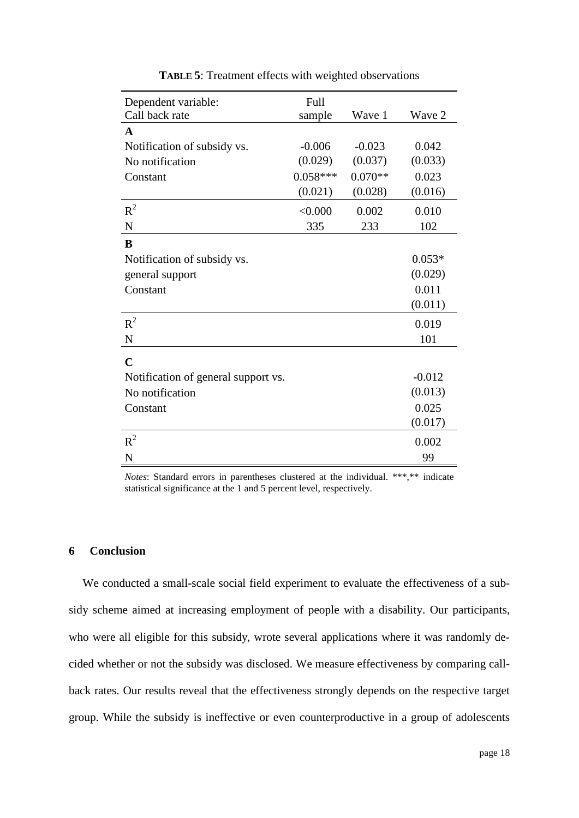| Dependent variable:                 | Full       |           |          |
|-------------------------------------|------------|-----------|----------|
| Call back rate                      | sample     | Wave 1    | Wave 2   |
| $\mathbf A$                         |            |           |          |
| Notification of subsidy vs.         | $-0.006$   | $-0.023$  | 0.042    |
| No notification                     | (0.029)    | (0.037)   | (0.033)  |
| Constant                            | $0.058***$ | $0.070**$ | 0.023    |
|                                     | (0.021)    | (0.028)   | (0.016)  |
| $R^2$                               | < 0.000    | 0.002     | 0.010    |
| $\mathbf N$                         | 335        | 233       | 102      |
| B                                   |            |           |          |
| Notification of subsidy vs.         |            |           | $0.053*$ |
| general support                     |            |           | (0.029)  |
| Constant                            |            |           | 0.011    |
|                                     |            |           | (0.011)  |
| $R^2$                               |            |           | 0.019    |
| $\mathbf N$                         |            |           | 101      |
| $\mathbf C$                         |            |           |          |
| Notification of general support vs. |            |           | $-0.012$ |
| No notification                     |            |           | (0.013)  |
| Constant                            |            |           | 0.025    |
|                                     |            |           | (0.017)  |
| $R^2$                               |            |           | 0.002    |
| N                                   |            |           | 99       |

**TABLE 5**: Treatment effects with weighted observations

*Notes*: Standard errors in parentheses clustered at the individual. \*\*\*,\*\* indicate statistical significance at the 1 and 5 percent level, respectively.

#### **6 Conclusion**

We conducted a small-scale social field experiment to evaluate the effectiveness of a subsidy scheme aimed at increasing employment of people with a disability. Our participants, who were all eligible for this subsidy, wrote several applications where it was randomly decided whether or not the subsidy was disclosed. We measure effectiveness by comparing callback rates. Our results reveal that the effectiveness strongly depends on the respective target group. While the subsidy is ineffective or even counterproductive in a group of adolescents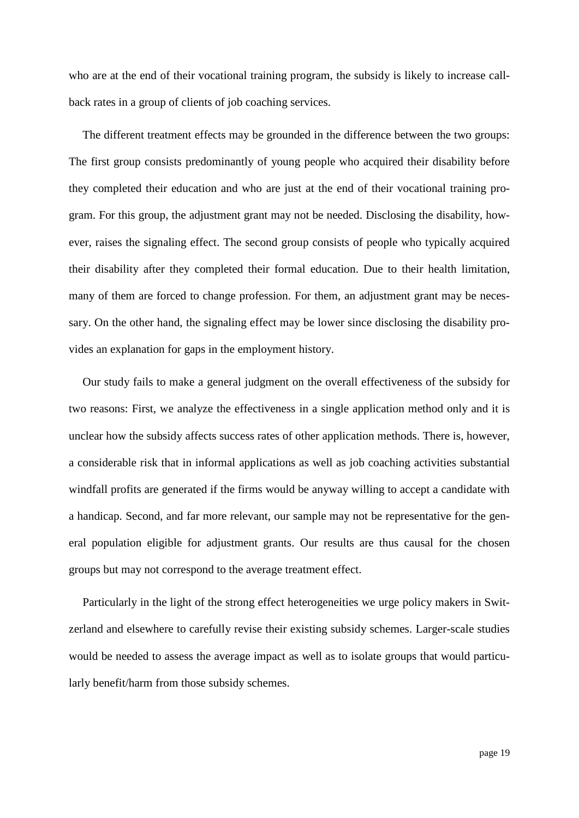who are at the end of their vocational training program, the subsidy is likely to increase callback rates in a group of clients of job coaching services.

The different treatment effects may be grounded in the difference between the two groups: The first group consists predominantly of young people who acquired their disability before they completed their education and who are just at the end of their vocational training program. For this group, the adjustment grant may not be needed. Disclosing the disability, however, raises the signaling effect. The second group consists of people who typically acquired their disability after they completed their formal education. Due to their health limitation, many of them are forced to change profession. For them, an adjustment grant may be necessary. On the other hand, the signaling effect may be lower since disclosing the disability provides an explanation for gaps in the employment history.

Our study fails to make a general judgment on the overall effectiveness of the subsidy for two reasons: First, we analyze the effectiveness in a single application method only and it is unclear how the subsidy affects success rates of other application methods. There is, however, a considerable risk that in informal applications as well as job coaching activities substantial windfall profits are generated if the firms would be anyway willing to accept a candidate with a handicap. Second, and far more relevant, our sample may not be representative for the general population eligible for adjustment grants. Our results are thus causal for the chosen groups but may not correspond to the average treatment effect.

Particularly in the light of the strong effect heterogeneities we urge policy makers in Switzerland and elsewhere to carefully revise their existing subsidy schemes. Larger-scale studies would be needed to assess the average impact as well as to isolate groups that would particularly benefit/harm from those subsidy schemes.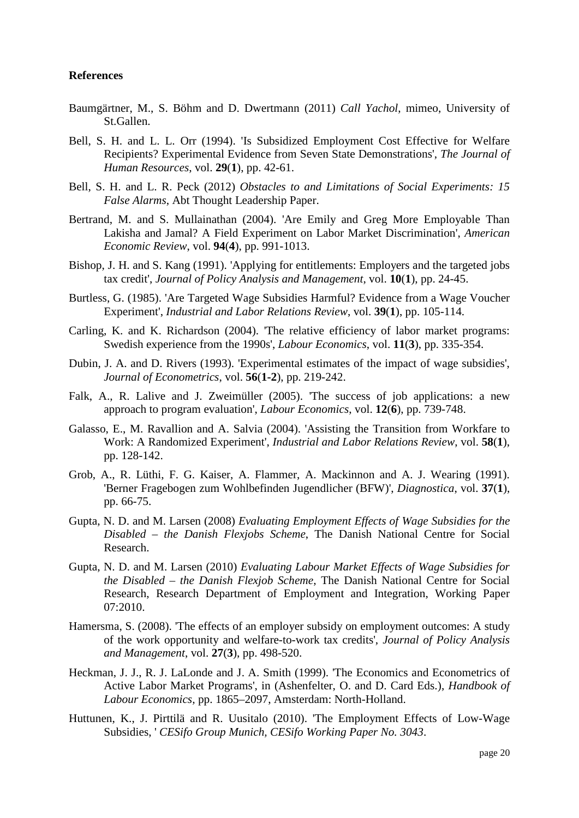#### **References**

- <span id="page-20-15"></span>Baumgärtner, M., S. Böhm and D. Dwertmann (2011) *Call Yachol*, mimeo, University of St.Gallen.
- <span id="page-20-1"></span>Bell, S. H. and L. L. Orr (1994). 'Is Subsidized Employment Cost Effective for Welfare Recipients? Experimental Evidence from Seven State Demonstrations', *The Journal of Human Resources*, vol. **29**(**1**), pp. 42-61.
- <span id="page-20-9"></span>Bell, S. H. and L. R. Peck (2012) *Obstacles to and Limitations of Social Experiments: 15 False Alarms*, Abt Thought Leadership Paper.
- <span id="page-20-13"></span>Bertrand, M. and S. Mullainathan (2004). 'Are Emily and Greg More Employable Than Lakisha and Jamal? A Field Experiment on Labor Market Discrimination', *American Economic Review*, vol. **94**(**4**), pp. 991-1013.
- <span id="page-20-12"></span>Bishop, J. H. and S. Kang (1991). 'Applying for entitlements: Employers and the targeted jobs tax credit', *Journal of Policy Analysis and Management*, vol. **10**(**1**), pp. 24-45.
- <span id="page-20-2"></span>Burtless, G. (1985). 'Are Targeted Wage Subsidies Harmful? Evidence from a Wage Voucher Experiment', *Industrial and Labor Relations Review*, vol. **39**(**1**), pp. 105-114.
- <span id="page-20-7"></span>Carling, K. and K. Richardson (2004). 'The relative efficiency of labor market programs: Swedish experience from the 1990s', *Labour Economics*, vol. **11**(**3**), pp. 335-354.
- <span id="page-20-3"></span>Dubin, J. A. and D. Rivers (1993). 'Experimental estimates of the impact of wage subsidies', *Journal of Econometrics*, vol. **56**(**1-2**), pp. 219-242.
- <span id="page-20-10"></span>Falk, A., R. Lalive and J. Zweimüller (2005). 'The success of job applications: a new approach to program evaluation', *Labour Economics*, vol. **12**(**6**), pp. 739-748.
- <span id="page-20-4"></span>Galasso, E., M. Ravallion and A. Salvia (2004). 'Assisting the Transition from Workfare to Work: A Randomized Experiment', *Industrial and Labor Relations Review*, vol. **58**(**1**), pp. 128-142.
- <span id="page-20-14"></span>Grob, A., R. Lüthi, F. G. Kaiser, A. Flammer, A. Mackinnon and A. J. Wearing (1991). 'Berner Fragebogen zum Wohlbefinden Jugendlicher (BFW)', *Diagnostica*, vol. **37**(**1**), pp. 66-75.
- <span id="page-20-8"></span>Gupta, N. D. and M. Larsen (2008) *Evaluating Employment Effects of Wage Subsidies for the Disabled – the Danish Flexjobs Scheme*, The Danish National Centre for Social Research.
- <span id="page-20-0"></span>Gupta, N. D. and M. Larsen (2010) *Evaluating Labour Market Effects of Wage Subsidies for the Disabled – the Danish Flexjob Scheme*, The Danish National Centre for Social Research, Research Department of Employment and Integration, Working Paper 07:2010.
- <span id="page-20-5"></span>Hamersma, S. (2008). The effects of an employer subsidy on employment outcomes: A study of the work opportunity and welfare-to-work tax credits', *Journal of Policy Analysis and Management*, vol. **27**(**3**), pp. 498-520.
- <span id="page-20-11"></span>Heckman, J. J., R. J. LaLonde and J. A. Smith (1999). 'The Economics and Econometrics of Active Labor Market Programs', in (Ashenfelter, O. and D. Card Eds.), *Handbook of Labour Economics,* pp. 1865–2097, Amsterdam: North-Holland.
- <span id="page-20-6"></span>Huttunen, K., J. Pirttilä and R. Uusitalo (2010). 'The Employment Effects of Low-Wage Subsidies, ' *CESifo Group Munich, CESifo Working Paper No. 3043*.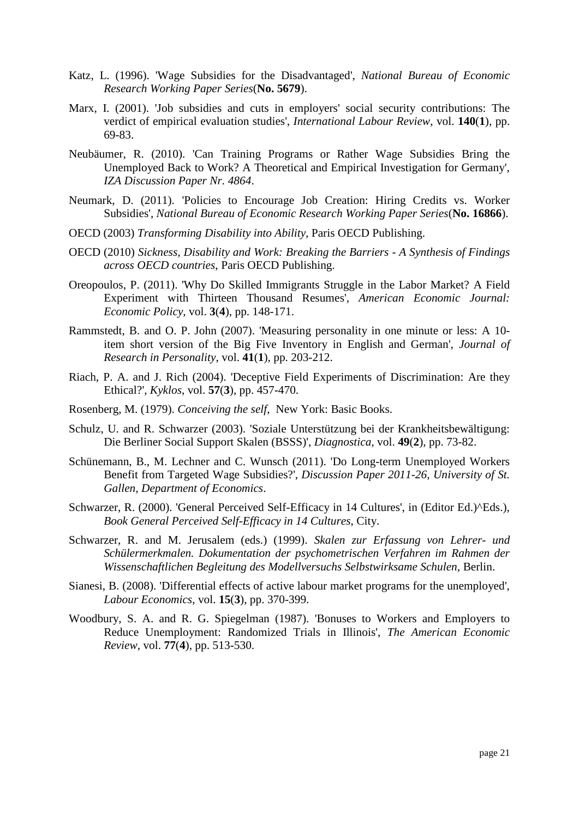- <span id="page-21-4"></span>Katz, L. (1996). 'Wage Subsidies for the Disadvantaged', *National Bureau of Economic Research Working Paper Series*(**No. 5679**).
- <span id="page-21-3"></span>Marx, I. (2001). 'Job subsidies and cuts in employers' social security contributions: The verdict of empirical evaluation studies', *International Labour Review*, vol. **140**(**1**), pp. 69-83.
- <span id="page-21-7"></span>Neubäumer, R. (2010). 'Can Training Programs or Rather Wage Subsidies Bring the Unemployed Back to Work? A Theoretical and Empirical Investigation for Germany', *IZA Discussion Paper Nr. 4864*.
- <span id="page-21-0"></span>Neumark, D. (2011). 'Policies to Encourage Job Creation: Hiring Credits vs. Worker Subsidies', *National Bureau of Economic Research Working Paper Series*(**No. 16866**).
- <span id="page-21-2"></span>OECD (2003) *Transforming Disability into Ability*, Paris OECD Publishing.
- <span id="page-21-1"></span>OECD (2010) *Sickness, Disability and Work: Breaking the Barriers - A Synthesis of Findings across OECD countries*, Paris OECD Publishing.
- <span id="page-21-9"></span>Oreopoulos, P. (2011). 'Why Do Skilled Immigrants Struggle in the Labor Market? A Field Experiment with Thirteen Thousand Resumes', *American Economic Journal: Economic Policy*, vol. **3**(**4**), pp. 148-171.
- <span id="page-21-15"></span>Rammstedt, B. and O. P. John (2007). 'Measuring personality in one minute or less: A 10 item short version of the Big Five Inventory in English and German', *Journal of Research in Personality*, vol. **41**(**1**), pp. 203-212.
- <span id="page-21-10"></span>Riach, P. A. and J. Rich (2004). 'Deceptive Field Experiments of Discrimination: Are they Ethical?', *Kyklos*, vol. **57**(**3**), pp. 457-470.
- <span id="page-21-11"></span>Rosenberg, M. (1979). *Conceiving the self*, New York: Basic Books.
- <span id="page-21-14"></span>Schulz, U. and R. Schwarzer (2003). 'Soziale Unterstützung bei der Krankheitsbewältigung: Die Berliner Social Support Skalen (BSSS)', *Diagnostica*, vol. **49**(**2**), pp. 73-82.
- <span id="page-21-6"></span>Schünemann, B., M. Lechner and C. Wunsch (2011). 'Do Long-term Unemployed Workers Benefit from Targeted Wage Subsidies?', *Discussion Paper 2011-26, University of St. Gallen, Department of Economics*.
- <span id="page-21-12"></span>Schwarzer, R. (2000). 'General Perceived Self-Efficacy in 14 Cultures', in (Editor Ed.)^Eds.), *Book General Perceived Self-Efficacy in 14 Cultures*, City.
- <span id="page-21-13"></span>Schwarzer, R. and M. Jerusalem (eds.) (1999). *Skalen zur Erfassung von Lehrer- und Schülermerkmalen. Dokumentation der psychometrischen Verfahren im Rahmen der Wissenschaftlichen Begleitung des Modellversuchs Selbstwirksame Schulen*, Berlin.
- <span id="page-21-8"></span>Sianesi, B. (2008). 'Differential effects of active labour market programs for the unemployed', *Labour Economics*, vol. **15**(**3**), pp. 370-399.
- <span id="page-21-5"></span>Woodbury, S. A. and R. G. Spiegelman (1987). 'Bonuses to Workers and Employers to Reduce Unemployment: Randomized Trials in Illinois', *The American Economic Review*, vol. **77**(**4**), pp. 513-530.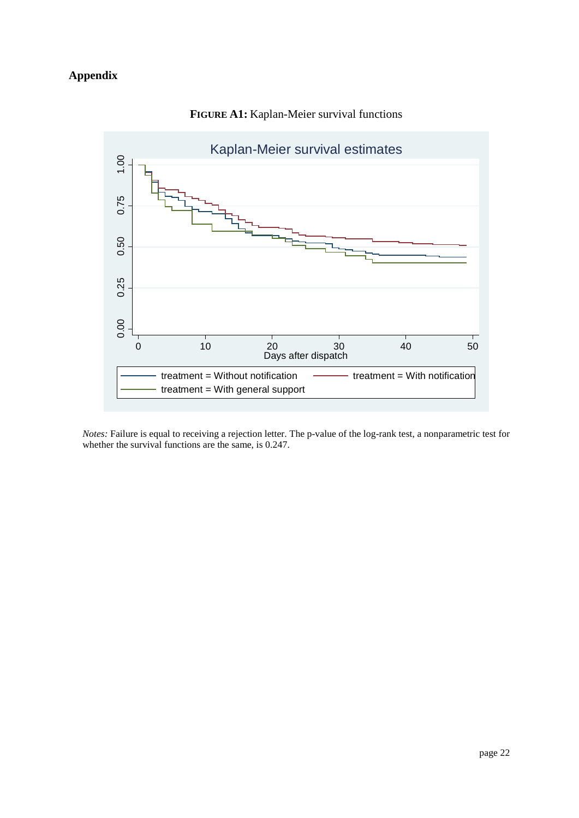## **Appendix**



### **FIGURE A1:** Kaplan-Meier survival functions

*Notes:* Failure is equal to receiving a rejection letter. The p-value of the log-rank test, a nonparametric test for whether the survival functions are the same, is 0.247.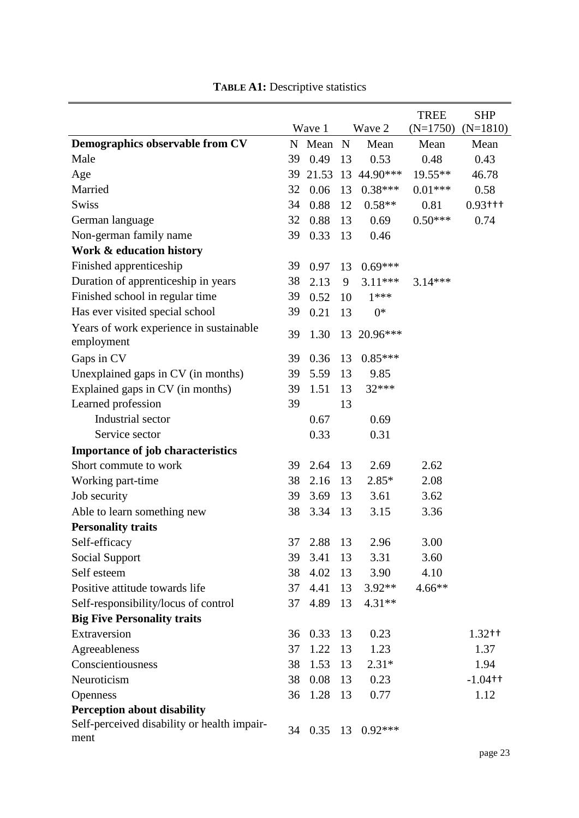|                                                       |    | Wave 1  |             | Wave 2      | <b>TREE</b>        | <b>SHP</b>            |
|-------------------------------------------------------|----|---------|-------------|-------------|--------------------|-----------------------|
| Demographics observable from CV                       |    | N Mean  | $\mathbf N$ | Mean        | $(N=1750)$<br>Mean | $(N=1810)$<br>Mean    |
| Male                                                  | 39 | 0.49    | 13          | 0.53        | 0.48               | 0.43                  |
| Age                                                   | 39 | 21.53   |             | 13 44.90*** | $19.55**$          | 46.78                 |
| Married                                               | 32 | 0.06    | 13          | $0.38***$   | $0.01***$          | 0.58                  |
| <b>Swiss</b>                                          | 34 | 0.88    | 12          | $0.58**$    | 0.81               | $0.93$ <sup>+++</sup> |
| German language                                       | 32 | 0.88    | 13          | 0.69        | $0.50***$          | 0.74                  |
| Non-german family name                                | 39 | 0.33    | 13          | 0.46        |                    |                       |
| Work & education history                              |    |         |             |             |                    |                       |
| Finished apprenticeship                               | 39 | 0.97    | 13          | $0.69***$   |                    |                       |
| Duration of apprenticeship in years                   | 38 | 2.13    | 9           | $3.11***$   | $3.14***$          |                       |
| Finished school in regular time                       | 39 | 0.52    | 10          | $1***$      |                    |                       |
| Has ever visited special school                       | 39 | 0.21    | 13          | $0*$        |                    |                       |
| Years of work experience in sustainable<br>employment | 39 | 1.30    |             | 13 20.96*** |                    |                       |
| Gaps in CV                                            | 39 | 0.36    | 13          | $0.85***$   |                    |                       |
| Unexplained gaps in CV (in months)                    | 39 | 5.59    | 13          | 9.85        |                    |                       |
| Explained gaps in CV (in months)                      | 39 | 1.51    | 13          | 32***       |                    |                       |
| Learned profession                                    | 39 |         | 13          |             |                    |                       |
| Industrial sector                                     |    | 0.67    |             | 0.69        |                    |                       |
| Service sector                                        |    | 0.33    |             | 0.31        |                    |                       |
| <b>Importance of job characteristics</b>              |    |         |             |             |                    |                       |
| Short commute to work                                 | 39 | 2.64    | 13          | 2.69        | 2.62               |                       |
| Working part-time                                     | 38 | 2.16    | 13          | $2.85*$     | 2.08               |                       |
| Job security                                          | 39 | 3.69    | 13          | 3.61        | 3.62               |                       |
| Able to learn something new                           | 38 | 3.34    | 13          | 3.15        | 3.36               |                       |
| <b>Personality traits</b>                             |    |         |             |             |                    |                       |
| Self-efficacy                                         | 37 | 2.88 13 |             | 2.96        | 3.00               |                       |
| Social Support                                        | 39 | 3.41    | 13          | 3.31        | 3.60               |                       |
| Self esteem                                           | 38 | 4.02    | 13          | 3.90        | 4.10               |                       |
| Positive attitude towards life                        | 37 | 4.41    | 13          | $3.92**$    | $4.66**$           |                       |
| Self-responsibility/locus of control                  | 37 | 4.89    | 13          | 4.31**      |                    |                       |
| <b>Big Five Personality traits</b>                    |    |         |             |             |                    |                       |
| Extraversion                                          | 36 | 0.33    | 13          | 0.23        |                    | $1.32 +$              |
| Agreeableness                                         | 37 | 1.22    | 13          | 1.23        |                    | 1.37                  |
| Conscientiousness                                     | 38 | 1.53    | 13          | $2.31*$     |                    | 1.94                  |
| Neuroticism                                           | 38 | 0.08    | 13          | 0.23        |                    | $-1.04$ <sup>++</sup> |
| <b>Openness</b>                                       | 36 | 1.28    | 13          | 0.77        |                    | 1.12                  |
| Perception about disability                           |    |         |             |             |                    |                       |
| Self-perceived disability or health impair-<br>ment   | 34 | 0.35    | 13          | $0.92***$   |                    |                       |

TABLE A1: Descriptive statistics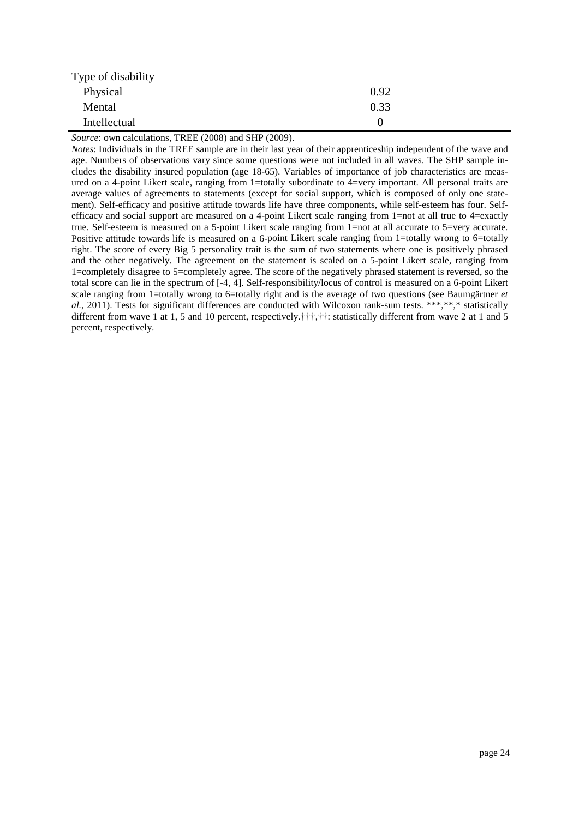| Type of disability |      |
|--------------------|------|
| Physical           | 0.92 |
| Mental             | 0.33 |
| Intellectual       |      |

*Source*: own calculations, TREE (2008) and SHP (2009).

*Notes*: Individuals in the TREE sample are in their last year of their apprenticeship independent of the wave and age. Numbers of observations vary since some questions were not included in all waves. The SHP sample includes the disability insured population (age 18-65). Variables of importance of job characteristics are measured on a 4-point Likert scale, ranging from 1=totally subordinate to 4=very important. All personal traits are average values of agreements to statements (except for social support, which is composed of only one statement). Self-efficacy and positive attitude towards life have three components, while self-esteem has four. Selfefficacy and social support are measured on a 4-point Likert scale ranging from 1=not at all true to 4=exactly true. Self-esteem is measured on a 5-point Likert scale ranging from 1=not at all accurate to 5=very accurate. Positive attitude towards life is measured on a 6-point Likert scale ranging from 1=totally wrong to 6=totally right. The score of every Big 5 personality trait is the sum of two statements where one is positively phrased and the other negatively. The agreement on the statement is scaled on a 5-point Likert scale, ranging from 1=completely disagree to 5=completely agree. The score of the negatively phrased statement is reversed, so the total score can lie in the spectrum of [-4, 4]. Self-responsibility/locus of control is measured on a 6-point Likert scale ranging from 1=totally wrong to 6=totally right and is the average of two questions [\(see Baumgärtner](#page-20-15) *et al.*[, 2011\)](#page-20-15). Tests for significant differences are conducted with Wilcoxon rank-sum tests. \*\*\*,\*\*,\* statistically different from wave 1 at 1, 5 and 10 percent, respectively.†††,††: statistically different from wave 2 at 1 and 5 percent, respectively.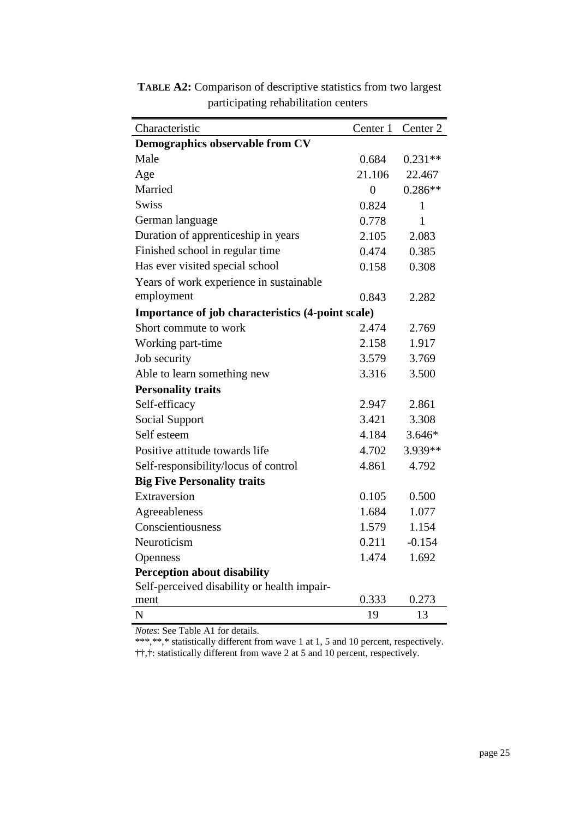| Characteristic                                    | Center 1       | Center <sub>2</sub> |
|---------------------------------------------------|----------------|---------------------|
| Demographics observable from CV                   |                |                     |
| Male                                              | 0.684          | $0.231**$           |
| Age                                               | 21.106         | 22.467              |
| Married                                           | $\overline{0}$ | $0.286**$           |
| <b>Swiss</b>                                      | 0.824          | 1                   |
| German language                                   | 0.778          | $\mathbf{1}$        |
| Duration of apprenticeship in years               | 2.105          | 2.083               |
| Finished school in regular time                   | 0.474          | 0.385               |
| Has ever visited special school                   | 0.158          | 0.308               |
| Years of work experience in sustainable           |                |                     |
| employment                                        | 0.843          | 2.282               |
| Importance of job characteristics (4-point scale) |                |                     |
| Short commute to work                             | 2.474          | 2.769               |
| Working part-time                                 | 2.158          | 1.917               |
| Job security                                      | 3.579          | 3.769               |
| Able to learn something new                       | 3.316          | 3.500               |
| <b>Personality traits</b>                         |                |                     |
| Self-efficacy                                     | 2.947          | 2.861               |
| <b>Social Support</b>                             | 3.421          | 3.308               |
| Self esteem                                       | 4.184          | 3.646*              |
| Positive attitude towards life                    | 4.702          | 3.939**             |
| Self-responsibility/locus of control              | 4.861          | 4.792               |
| <b>Big Five Personality traits</b>                |                |                     |
| Extraversion                                      | 0.105          | 0.500               |
| Agreeableness                                     | 1.684          | 1.077               |
| Conscientiousness                                 | 1.579          | 1.154               |
| Neuroticism                                       | 0.211          | $-0.154$            |
| Openness                                          | 1.474          | 1.692               |
| <b>Perception about disability</b>                |                |                     |
| Self-perceived disability or health impair-       |                |                     |
| ment                                              | 0.333          | 0.273               |
| N                                                 | 19             | 13                  |

**TABLE A2:** Comparison of descriptive statistics from two largest participating rehabilitation centers

*Notes*: See Table A1 for details.

\*\*\*,\*\*,\* statistically different from wave 1 at 1, 5 and 10 percent, respectively. ††,†: statistically different from wave 2 at 5 and 10 percent, respectively.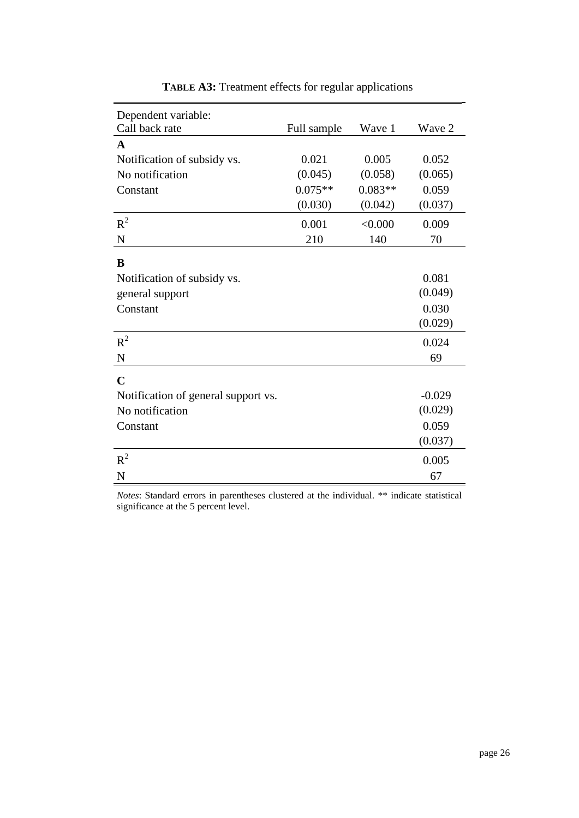| Dependent variable:<br>Call back rate |             | Wave 1    | Wave 2   |
|---------------------------------------|-------------|-----------|----------|
|                                       | Full sample |           |          |
| $\mathbf{A}$                          |             |           |          |
| Notification of subsidy vs.           | 0.021       | 0.005     | 0.052    |
| No notification                       | (0.045)     | (0.058)   | (0.065)  |
| Constant                              | $0.075**$   | $0.083**$ | 0.059    |
|                                       | (0.030)     | (0.042)   | (0.037)  |
| $R^2$                                 | 0.001       | < 0.000   | 0.009    |
| $\mathbf N$                           | 210         | 140       | 70       |
|                                       |             |           |          |
| B                                     |             |           |          |
| Notification of subsidy vs.           |             |           | 0.081    |
| general support                       |             |           | (0.049)  |
| Constant                              |             |           | 0.030    |
|                                       |             |           | (0.029)  |
| $R^2$                                 |             |           | 0.024    |
| ${\bf N}$                             |             |           | 69       |
| $\mathbf C$                           |             |           |          |
| Notification of general support vs.   |             |           | $-0.029$ |
| No notification                       |             |           | (0.029)  |
| Constant                              |             |           | 0.059    |
|                                       |             |           | (0.037)  |
| $R^2$                                 |             |           | 0.005    |
| N                                     |             |           | 67       |

**TABLE A3:** Treatment effects for regular applications

*Notes*: Standard errors in parentheses clustered at the individual. \*\* indicate statistical significance at the 5 percent level.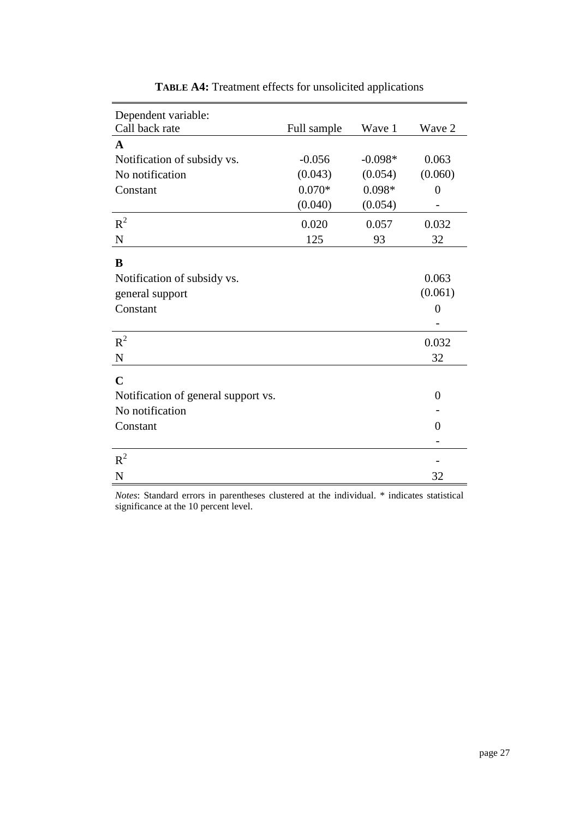| Dependent variable:                 |             |           |                |
|-------------------------------------|-------------|-----------|----------------|
| Call back rate                      | Full sample | Wave 1    | Wave 2         |
| $\mathbf{A}$                        |             |           |                |
| Notification of subsidy vs.         | $-0.056$    | $-0.098*$ | 0.063          |
| No notification                     | (0.043)     | (0.054)   | (0.060)        |
| Constant                            | $0.070*$    | $0.098*$  | $\overline{0}$ |
|                                     | (0.040)     | (0.054)   |                |
| $R^2$                               | 0.020       | 0.057     | 0.032          |
| N                                   | 125         | 93        | 32             |
|                                     |             |           |                |
| B                                   |             |           |                |
| Notification of subsidy vs.         |             |           | 0.063          |
| general support                     |             |           | (0.061)        |
| Constant                            |             |           | $\overline{0}$ |
|                                     |             |           |                |
| $R^2$                               |             |           | 0.032          |
| $\mathbf N$                         |             |           | 32             |
|                                     |             |           |                |
| $\mathbf C$                         |             |           |                |
| Notification of general support vs. |             |           | $\theta$       |
| No notification                     |             |           |                |
| Constant                            |             |           | 0              |
|                                     |             |           |                |
| $R^2$                               |             |           |                |
| N                                   |             |           | 32             |

**TABLE A4:** Treatment effects for unsolicited applications

*Notes*: Standard errors in parentheses clustered at the individual. \* indicates statistical significance at the 10 percent level.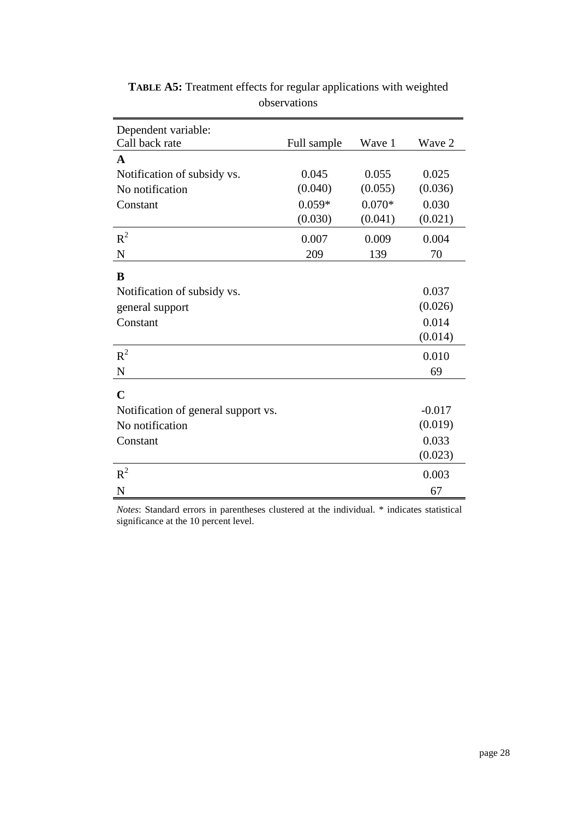| Dependent variable:                 |             |          |          |
|-------------------------------------|-------------|----------|----------|
| Call back rate                      | Full sample | Wave 1   | Wave 2   |
| A                                   |             |          |          |
| Notification of subsidy vs.         | 0.045       | 0.055    | 0.025    |
| No notification                     | (0.040)     | (0.055)  | (0.036)  |
| Constant                            | $0.059*$    | $0.070*$ | 0.030    |
|                                     | (0.030)     | (0.041)  | (0.021)  |
| $R^2$                               | 0.007       | 0.009    | 0.004    |
| ${\bf N}$                           | 209         | 139      | 70       |
| B                                   |             |          |          |
| Notification of subsidy vs.         |             |          | 0.037    |
| general support                     |             |          | (0.026)  |
| Constant                            |             |          | 0.014    |
|                                     |             |          | (0.014)  |
| $R^2$                               |             |          | 0.010    |
| $\mathbf N$                         |             |          | 69       |
| $\mathbf C$                         |             |          |          |
| Notification of general support vs. |             |          | $-0.017$ |
| No notification                     |             |          | (0.019)  |
| Constant                            |             |          | 0.033    |
|                                     |             |          | (0.023)  |
| $R^2$                               |             |          | 0.003    |
| $\mathbf N$                         |             |          | 67       |

**TABLE A5:** Treatment effects for regular applications with weighted observations

*Notes*: Standard errors in parentheses clustered at the individual. \* indicates statistical significance at the 10 percent level.